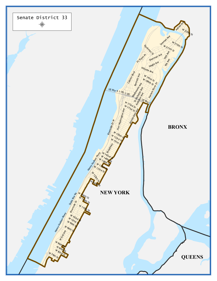